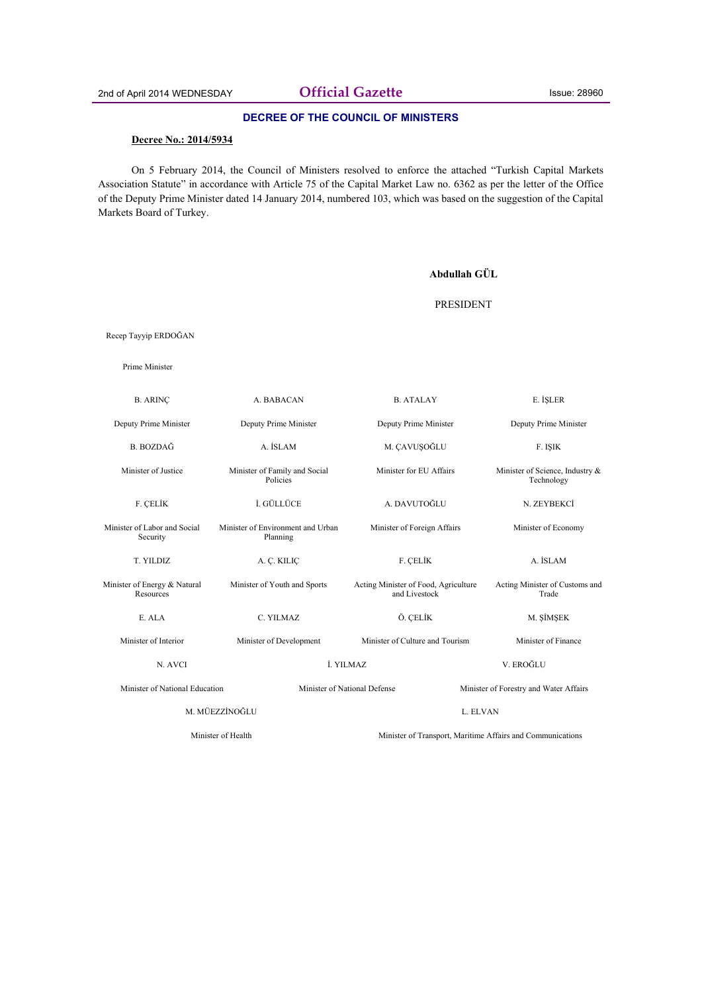## **DECREE OF THE COUNCIL OF MINISTERS**

#### **Decree No.: 2014/5934**

On 5 February 2014, the Council of Ministers resolved to enforce the attached "Turkish Capital Markets Association Statute" in accordance with Article 75 of the Capital Market Law no. 6362 as per the letter of the Office of the Deputy Prime Minister dated 14 January 2014, numbered 103, which was based on the suggestion of the Capital Markets Board of Turkey.

|                                           |                                               | Abdullah GÜL                                                           |                                               |
|-------------------------------------------|-----------------------------------------------|------------------------------------------------------------------------|-----------------------------------------------|
|                                           |                                               | <b>PRESIDENT</b>                                                       |                                               |
| Recep Tayyip ERDOĞAN                      |                                               |                                                                        |                                               |
| Prime Minister                            |                                               |                                                                        |                                               |
| <b>B. ARINC</b>                           | A. BABACAN                                    | <b>B. ATALAY</b>                                                       | E. İSLER                                      |
| Deputy Prime Minister                     | Deputy Prime Minister                         | Deputy Prime Minister                                                  | Deputy Prime Minister                         |
| <b>B.</b> BOZDAĞ                          | A. İSLAM                                      | M. ÇAVUŞOĞLU                                                           | F. ISIK                                       |
| Minister of Justice                       | Minister of Family and Social<br>Policies     | Minister for EU Affairs                                                | Minister of Science, Industry &<br>Technology |
| F. CELİK                                  | İ. GÜLLÜCE                                    | A. DAVUTOĞLU                                                           | N. ZEYBEKCİ                                   |
| Minister of Labor and Social<br>Security  | Minister of Environment and Urban<br>Planning | Minister of Foreign Affairs                                            | Minister of Economy                           |
| T. YILDIZ                                 | A. Ç. KILIÇ                                   | F. ÇELİK                                                               | A. İSLAM                                      |
| Minister of Energy & Natural<br>Resources | Minister of Youth and Sports                  | Acting Minister of Food, Agriculture<br>and Livestock                  | Acting Minister of Customs and<br>Trade       |
| E. ALA                                    | C. YILMAZ                                     | Ö. CELİK                                                               | M. SIMSEK                                     |
| Minister of Interior                      | Minister of Development                       | Minister of Culture and Tourism                                        | Minister of Finance                           |
| N. AVCI                                   |                                               | İ. YILMAZ                                                              | V. EROĞLU                                     |
| Minister of National Education            |                                               | Minister of National Defense<br>Minister of Forestry and Water Affairs |                                               |
| M. MÜEZZİNOĞLU                            |                                               | L. ELVAN                                                               |                                               |
| Minister of Health                        |                                               | Minister of Transport, Maritime Affairs and Communications             |                                               |
|                                           |                                               |                                                                        |                                               |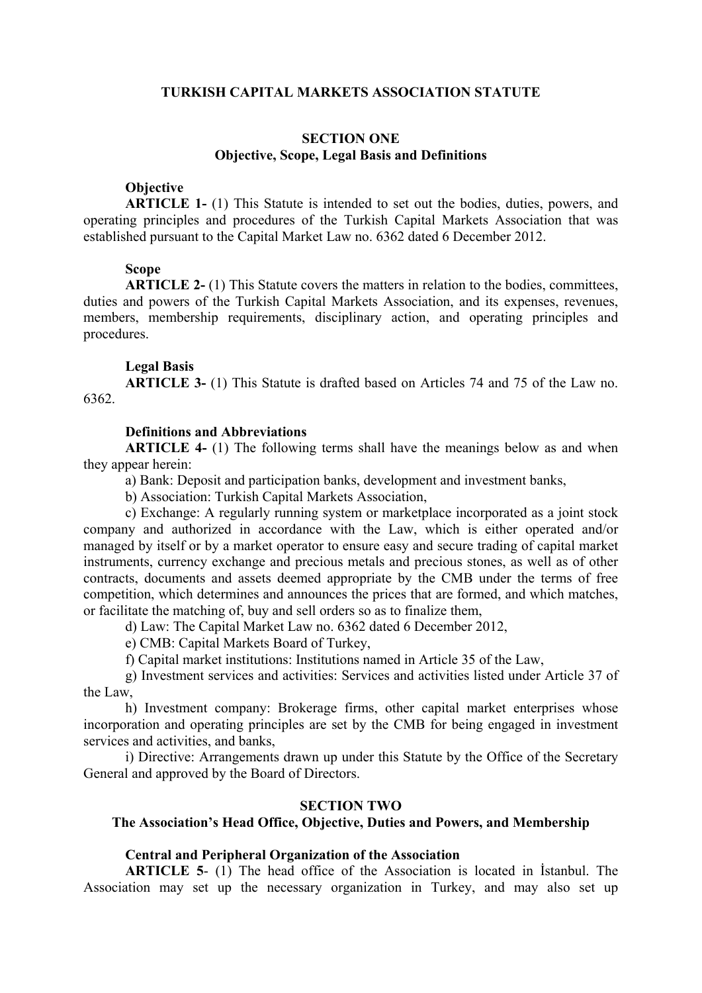## **TURKISH CAPITAL MARKETS ASSOCIATION STATUTE**

# **SECTION ONE Objective, Scope, Legal Basis and Definitions**

## **Objective**

**ARTICLE 1-** (1) This Statute is intended to set out the bodies, duties, powers, and operating principles and procedures of the Turkish Capital Markets Association that was established pursuant to the Capital Market Law no. 6362 dated 6 December 2012.

## **Scope**

**ARTICLE 2-** (1) This Statute covers the matters in relation to the bodies, committees, duties and powers of the Turkish Capital Markets Association, and its expenses, revenues, members, membership requirements, disciplinary action, and operating principles and procedures.

#### **Legal Basis**

**ARTICLE 3-** (1) This Statute is drafted based on Articles 74 and 75 of the Law no. 6362.

## **Definitions and Abbreviations**

**ARTICLE 4-** (1) The following terms shall have the meanings below as and when they appear herein:

a) Bank: Deposit and participation banks, development and investment banks,

b) Association: Turkish Capital Markets Association,

c) Exchange: A regularly running system or marketplace incorporated as a joint stock company and authorized in accordance with the Law, which is either operated and/or managed by itself or by a market operator to ensure easy and secure trading of capital market instruments, currency exchange and precious metals and precious stones, as well as of other contracts, documents and assets deemed appropriate by the CMB under the terms of free competition, which determines and announces the prices that are formed, and which matches, or facilitate the matching of, buy and sell orders so as to finalize them,

d) Law: The Capital Market Law no. 6362 dated 6 December 2012,

e) CMB: Capital Markets Board of Turkey,

f) Capital market institutions: Institutions named in Article 35 of the Law,

g) Investment services and activities: Services and activities listed under Article 37 of the Law,

h) Investment company: Brokerage firms, other capital market enterprises whose incorporation and operating principles are set by the CMB for being engaged in investment services and activities, and banks,

i) Directive: Arrangements drawn up under this Statute by the Office of the Secretary General and approved by the Board of Directors.

## **SECTION TWO**

# **The Association's Head Office, Objective, Duties and Powers, and Membership**

## **Central and Peripheral Organization of the Association**

**ARTICLE 5**- (1) The head office of the Association is located in İstanbul. The Association may set up the necessary organization in Turkey, and may also set up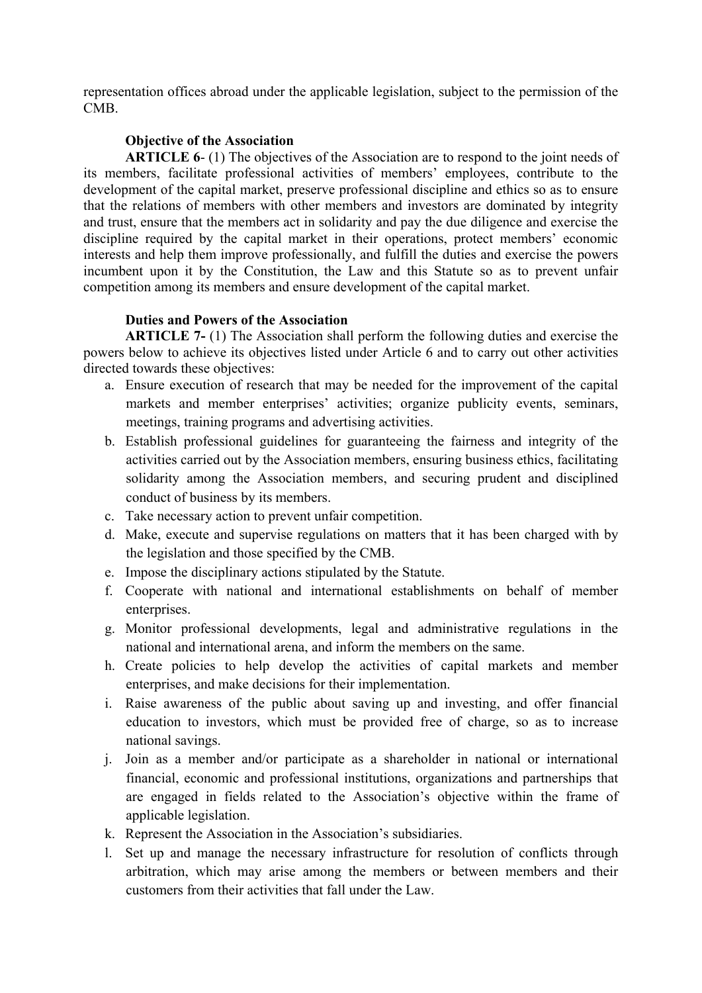representation offices abroad under the applicable legislation, subject to the permission of the CMB.

# **Objective of the Association**

**ARTICLE 6**- (1) The objectives of the Association are to respond to the joint needs of its members, facilitate professional activities of members' employees, contribute to the development of the capital market, preserve professional discipline and ethics so as to ensure that the relations of members with other members and investors are dominated by integrity and trust, ensure that the members act in solidarity and pay the due diligence and exercise the discipline required by the capital market in their operations, protect members' economic interests and help them improve professionally, and fulfill the duties and exercise the powers incumbent upon it by the Constitution, the Law and this Statute so as to prevent unfair competition among its members and ensure development of the capital market.

# **Duties and Powers of the Association**

**ARTICLE 7-** (1) The Association shall perform the following duties and exercise the powers below to achieve its objectives listed under Article 6 and to carry out other activities directed towards these objectives:

- a. Ensure execution of research that may be needed for the improvement of the capital markets and member enterprises' activities; organize publicity events, seminars, meetings, training programs and advertising activities.
- b. Establish professional guidelines for guaranteeing the fairness and integrity of the activities carried out by the Association members, ensuring business ethics, facilitating solidarity among the Association members, and securing prudent and disciplined conduct of business by its members.
- c. Take necessary action to prevent unfair competition.
- d. Make, execute and supervise regulations on matters that it has been charged with by the legislation and those specified by the CMB.
- e. Impose the disciplinary actions stipulated by the Statute.
- f. Cooperate with national and international establishments on behalf of member enterprises.
- g. Monitor professional developments, legal and administrative regulations in the national and international arena, and inform the members on the same.
- h. Create policies to help develop the activities of capital markets and member enterprises, and make decisions for their implementation.
- i. Raise awareness of the public about saving up and investing, and offer financial education to investors, which must be provided free of charge, so as to increase national savings.
- j. Join as a member and/or participate as a shareholder in national or international financial, economic and professional institutions, organizations and partnerships that are engaged in fields related to the Association's objective within the frame of applicable legislation.
- k. Represent the Association in the Association's subsidiaries.
- l. Set up and manage the necessary infrastructure for resolution of conflicts through arbitration, which may arise among the members or between members and their customers from their activities that fall under the Law.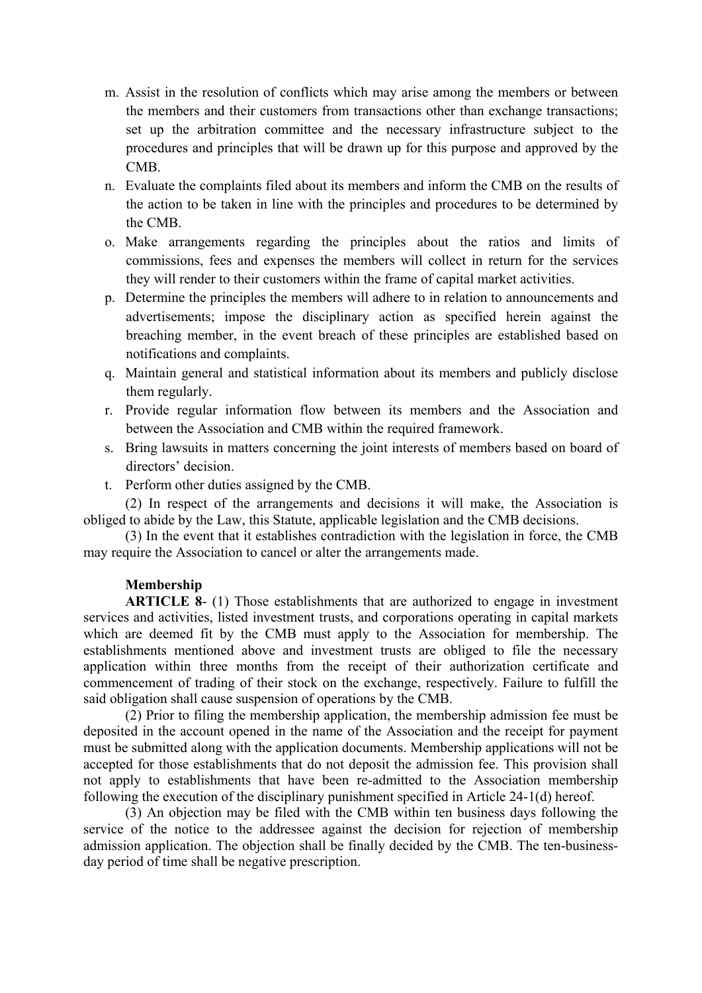- m. Assist in the resolution of conflicts which may arise among the members or between the members and their customers from transactions other than exchange transactions; set up the arbitration committee and the necessary infrastructure subject to the procedures and principles that will be drawn up for this purpose and approved by the CMB.
- n. Evaluate the complaints filed about its members and inform the CMB on the results of the action to be taken in line with the principles and procedures to be determined by the CMB.
- o. Make arrangements regarding the principles about the ratios and limits of commissions, fees and expenses the members will collect in return for the services they will render to their customers within the frame of capital market activities.
- p. Determine the principles the members will adhere to in relation to announcements and advertisements; impose the disciplinary action as specified herein against the breaching member, in the event breach of these principles are established based on notifications and complaints.
- q. Maintain general and statistical information about its members and publicly disclose them regularly.
- r. Provide regular information flow between its members and the Association and between the Association and CMB within the required framework.
- s. Bring lawsuits in matters concerning the joint interests of members based on board of directors' decision.
- t. Perform other duties assigned by the CMB.

 (2) In respect of the arrangements and decisions it will make, the Association is obliged to abide by the Law, this Statute, applicable legislation and the CMB decisions.

 (3) In the event that it establishes contradiction with the legislation in force, the CMB may require the Association to cancel or alter the arrangements made.

# **Membership**

**ARTICLE 8**- (1) Those establishments that are authorized to engage in investment services and activities, listed investment trusts, and corporations operating in capital markets which are deemed fit by the CMB must apply to the Association for membership. The establishments mentioned above and investment trusts are obliged to file the necessary application within three months from the receipt of their authorization certificate and commencement of trading of their stock on the exchange, respectively. Failure to fulfill the said obligation shall cause suspension of operations by the CMB.

(2) Prior to filing the membership application, the membership admission fee must be deposited in the account opened in the name of the Association and the receipt for payment must be submitted along with the application documents. Membership applications will not be accepted for those establishments that do not deposit the admission fee. This provision shall not apply to establishments that have been re-admitted to the Association membership following the execution of the disciplinary punishment specified in Article 24-1(d) hereof.

(3) An objection may be filed with the CMB within ten business days following the service of the notice to the addressee against the decision for rejection of membership admission application. The objection shall be finally decided by the CMB. The ten-businessday period of time shall be negative prescription.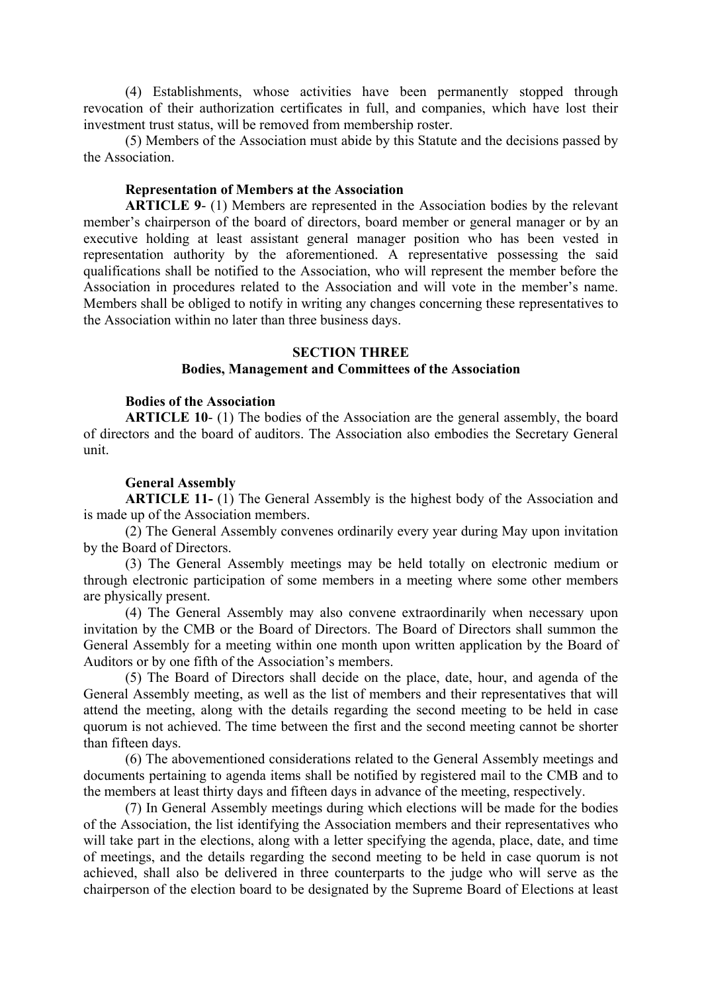(4) Establishments, whose activities have been permanently stopped through revocation of their authorization certificates in full, and companies, which have lost their investment trust status, will be removed from membership roster.

(5) Members of the Association must abide by this Statute and the decisions passed by the Association.

## **Representation of Members at the Association**

**ARTICLE 9**- (1) Members are represented in the Association bodies by the relevant member's chairperson of the board of directors, board member or general manager or by an executive holding at least assistant general manager position who has been vested in representation authority by the aforementioned. A representative possessing the said qualifications shall be notified to the Association, who will represent the member before the Association in procedures related to the Association and will vote in the member's name. Members shall be obliged to notify in writing any changes concerning these representatives to the Association within no later than three business days.

## **SECTION THREE**

## **Bodies, Management and Committees of the Association**

#### **Bodies of the Association**

**ARTICLE 10**- (1) The bodies of the Association are the general assembly, the board of directors and the board of auditors. The Association also embodies the Secretary General unit.

#### **General Assembly**

**ARTICLE 11-** (1) The General Assembly is the highest body of the Association and is made up of the Association members.

(2) The General Assembly convenes ordinarily every year during May upon invitation by the Board of Directors.

(3) The General Assembly meetings may be held totally on electronic medium or through electronic participation of some members in a meeting where some other members are physically present.

(4) The General Assembly may also convene extraordinarily when necessary upon invitation by the CMB or the Board of Directors. The Board of Directors shall summon the General Assembly for a meeting within one month upon written application by the Board of Auditors or by one fifth of the Association's members.

(5) The Board of Directors shall decide on the place, date, hour, and agenda of the General Assembly meeting, as well as the list of members and their representatives that will attend the meeting, along with the details regarding the second meeting to be held in case quorum is not achieved. The time between the first and the second meeting cannot be shorter than fifteen days.

(6) The abovementioned considerations related to the General Assembly meetings and documents pertaining to agenda items shall be notified by registered mail to the CMB and to the members at least thirty days and fifteen days in advance of the meeting, respectively.

(7) In General Assembly meetings during which elections will be made for the bodies of the Association, the list identifying the Association members and their representatives who will take part in the elections, along with a letter specifying the agenda, place, date, and time of meetings, and the details regarding the second meeting to be held in case quorum is not achieved, shall also be delivered in three counterparts to the judge who will serve as the chairperson of the election board to be designated by the Supreme Board of Elections at least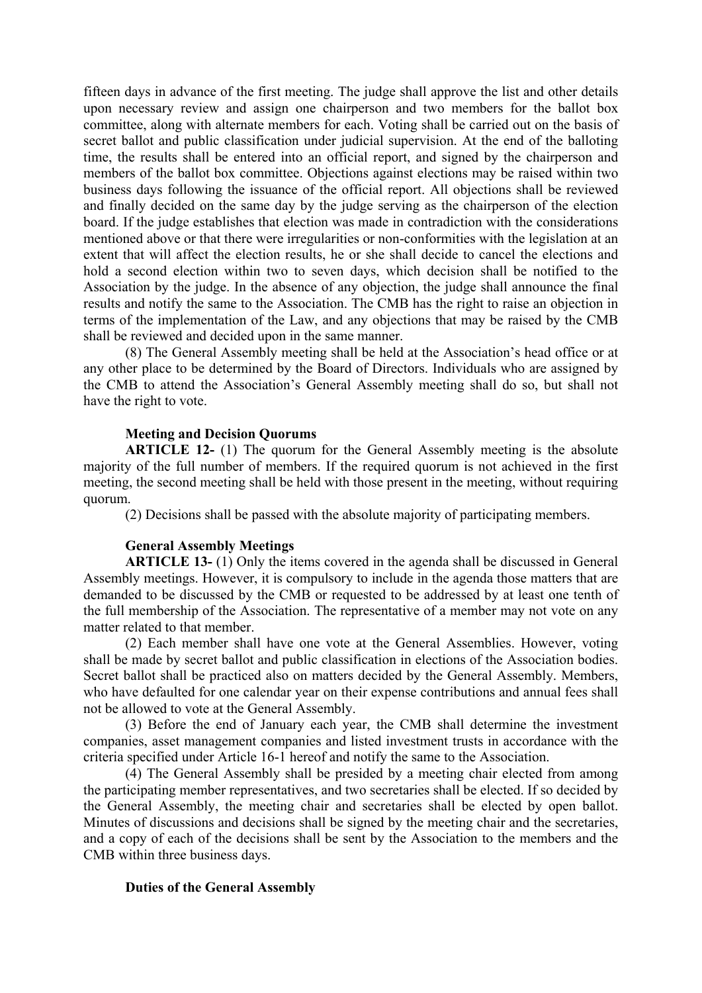fifteen days in advance of the first meeting. The judge shall approve the list and other details upon necessary review and assign one chairperson and two members for the ballot box committee, along with alternate members for each. Voting shall be carried out on the basis of secret ballot and public classification under judicial supervision. At the end of the balloting time, the results shall be entered into an official report, and signed by the chairperson and members of the ballot box committee. Objections against elections may be raised within two business days following the issuance of the official report. All objections shall be reviewed and finally decided on the same day by the judge serving as the chairperson of the election board. If the judge establishes that election was made in contradiction with the considerations mentioned above or that there were irregularities or non-conformities with the legislation at an extent that will affect the election results, he or she shall decide to cancel the elections and hold a second election within two to seven days, which decision shall be notified to the Association by the judge. In the absence of any objection, the judge shall announce the final results and notify the same to the Association. The CMB has the right to raise an objection in terms of the implementation of the Law, and any objections that may be raised by the CMB shall be reviewed and decided upon in the same manner.

(8) The General Assembly meeting shall be held at the Association's head office or at any other place to be determined by the Board of Directors. Individuals who are assigned by the CMB to attend the Association's General Assembly meeting shall do so, but shall not have the right to vote.

## **Meeting and Decision Quorums**

**ARTICLE 12-** (1) The quorum for the General Assembly meeting is the absolute majority of the full number of members. If the required quorum is not achieved in the first meeting, the second meeting shall be held with those present in the meeting, without requiring quorum.

(2) Decisions shall be passed with the absolute majority of participating members.

## **General Assembly Meetings**

**ARTICLE 13-** (1) Only the items covered in the agenda shall be discussed in General Assembly meetings. However, it is compulsory to include in the agenda those matters that are demanded to be discussed by the CMB or requested to be addressed by at least one tenth of the full membership of the Association. The representative of a member may not vote on any matter related to that member.

(2) Each member shall have one vote at the General Assemblies. However, voting shall be made by secret ballot and public classification in elections of the Association bodies. Secret ballot shall be practiced also on matters decided by the General Assembly. Members, who have defaulted for one calendar year on their expense contributions and annual fees shall not be allowed to vote at the General Assembly.

(3) Before the end of January each year, the CMB shall determine the investment companies, asset management companies and listed investment trusts in accordance with the criteria specified under Article 16-1 hereof and notify the same to the Association.

(4) The General Assembly shall be presided by a meeting chair elected from among the participating member representatives, and two secretaries shall be elected. If so decided by the General Assembly, the meeting chair and secretaries shall be elected by open ballot. Minutes of discussions and decisions shall be signed by the meeting chair and the secretaries, and a copy of each of the decisions shall be sent by the Association to the members and the CMB within three business days.

## **Duties of the General Assembly**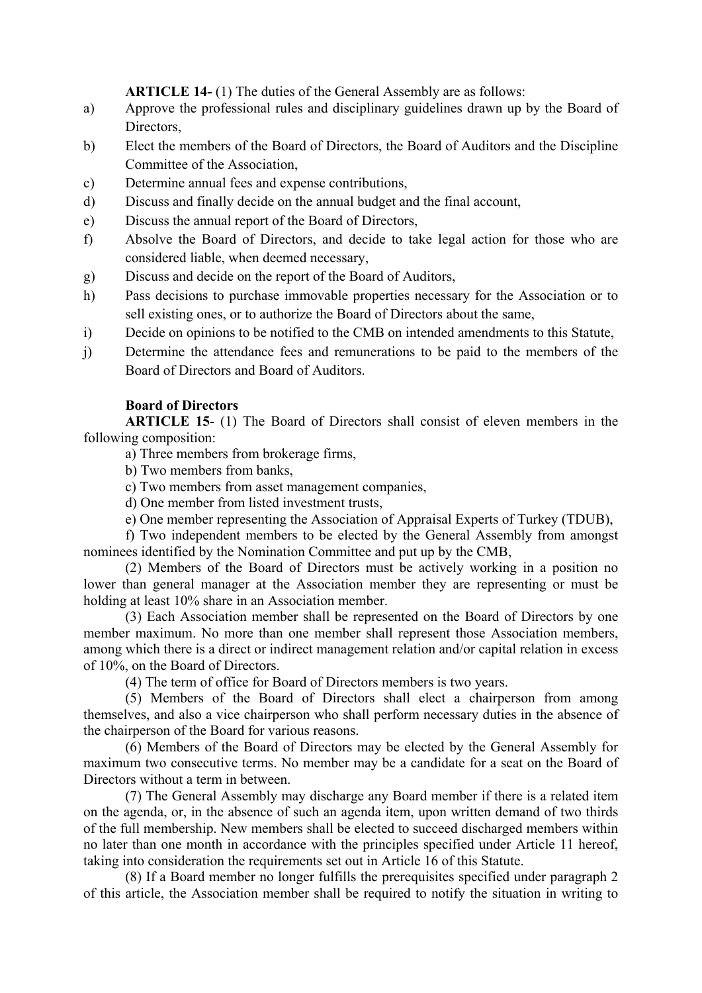**ARTICLE 14-** (1) The duties of the General Assembly are as follows:

- a) Approve the professional rules and disciplinary guidelines drawn up by the Board of Directors,
- b) Elect the members of the Board of Directors, the Board of Auditors and the Discipline Committee of the Association,
- c) Determine annual fees and expense contributions,
- d) Discuss and finally decide on the annual budget and the final account,
- e) Discuss the annual report of the Board of Directors,
- f) Absolve the Board of Directors, and decide to take legal action for those who are considered liable, when deemed necessary,
- g) Discuss and decide on the report of the Board of Auditors,
- h) Pass decisions to purchase immovable properties necessary for the Association or to sell existing ones, or to authorize the Board of Directors about the same,
- i) Decide on opinions to be notified to the CMB on intended amendments to this Statute,
- j) Determine the attendance fees and remunerations to be paid to the members of the Board of Directors and Board of Auditors.

# **Board of Directors**

**ARTICLE 15**- (1) The Board of Directors shall consist of eleven members in the following composition:

a) Three members from brokerage firms,

b) Two members from banks,

c) Two members from asset management companies,

d) One member from listed investment trusts,

e) One member representing the Association of Appraisal Experts of Turkey (TDUB),

f) Two independent members to be elected by the General Assembly from amongst nominees identified by the Nomination Committee and put up by the CMB,

(2) Members of the Board of Directors must be actively working in a position no lower than general manager at the Association member they are representing or must be holding at least 10% share in an Association member.

(3) Each Association member shall be represented on the Board of Directors by one member maximum. No more than one member shall represent those Association members, among which there is a direct or indirect management relation and/or capital relation in excess of 10%, on the Board of Directors.

(4) The term of office for Board of Directors members is two years.

(5) Members of the Board of Directors shall elect a chairperson from among themselves, and also a vice chairperson who shall perform necessary duties in the absence of the chairperson of the Board for various reasons.

(6) Members of the Board of Directors may be elected by the General Assembly for maximum two consecutive terms. No member may be a candidate for a seat on the Board of Directors without a term in between.

(7) The General Assembly may discharge any Board member if there is a related item on the agenda, or, in the absence of such an agenda item, upon written demand of two thirds of the full membership. New members shall be elected to succeed discharged members within no later than one month in accordance with the principles specified under Article 11 hereof, taking into consideration the requirements set out in Article 16 of this Statute.

(8) If a Board member no longer fulfills the prerequisites specified under paragraph 2 of this article, the Association member shall be required to notify the situation in writing to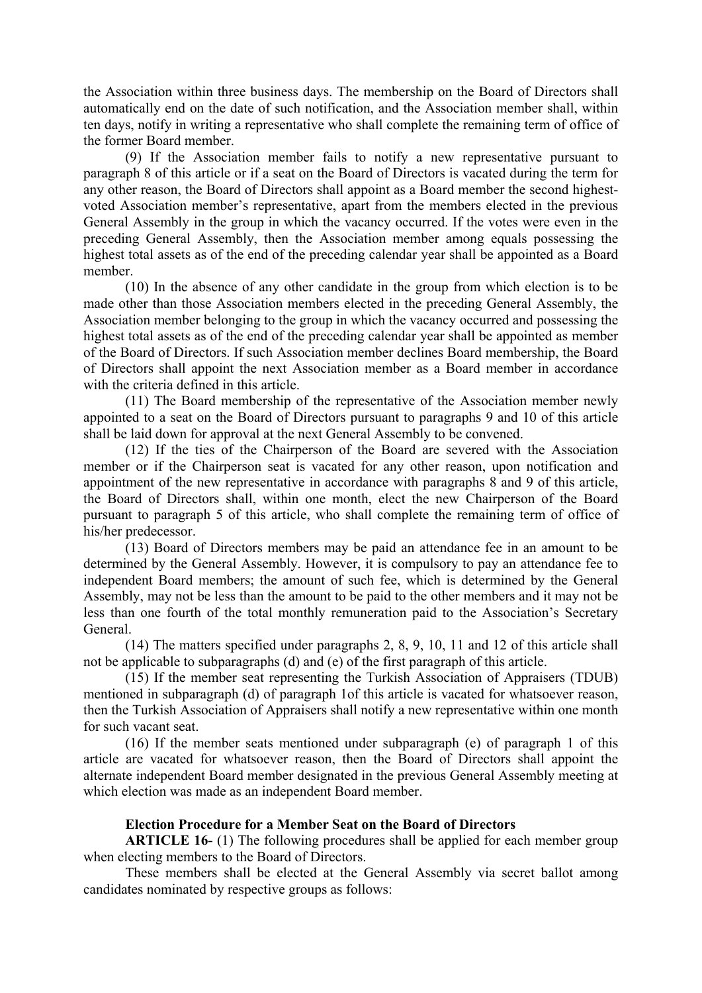the Association within three business days. The membership on the Board of Directors shall automatically end on the date of such notification, and the Association member shall, within ten days, notify in writing a representative who shall complete the remaining term of office of the former Board member.

(9) If the Association member fails to notify a new representative pursuant to paragraph 8 of this article or if a seat on the Board of Directors is vacated during the term for any other reason, the Board of Directors shall appoint as a Board member the second highestvoted Association member's representative, apart from the members elected in the previous General Assembly in the group in which the vacancy occurred. If the votes were even in the preceding General Assembly, then the Association member among equals possessing the highest total assets as of the end of the preceding calendar year shall be appointed as a Board member.

(10) In the absence of any other candidate in the group from which election is to be made other than those Association members elected in the preceding General Assembly, the Association member belonging to the group in which the vacancy occurred and possessing the highest total assets as of the end of the preceding calendar year shall be appointed as member of the Board of Directors. If such Association member declines Board membership, the Board of Directors shall appoint the next Association member as a Board member in accordance with the criteria defined in this article.

(11) The Board membership of the representative of the Association member newly appointed to a seat on the Board of Directors pursuant to paragraphs 9 and 10 of this article shall be laid down for approval at the next General Assembly to be convened.

(12) If the ties of the Chairperson of the Board are severed with the Association member or if the Chairperson seat is vacated for any other reason, upon notification and appointment of the new representative in accordance with paragraphs 8 and 9 of this article, the Board of Directors shall, within one month, elect the new Chairperson of the Board pursuant to paragraph 5 of this article, who shall complete the remaining term of office of his/her predecessor.

(13) Board of Directors members may be paid an attendance fee in an amount to be determined by the General Assembly. However, it is compulsory to pay an attendance fee to independent Board members; the amount of such fee, which is determined by the General Assembly, may not be less than the amount to be paid to the other members and it may not be less than one fourth of the total monthly remuneration paid to the Association's Secretary General.

(14) The matters specified under paragraphs 2, 8, 9, 10, 11 and 12 of this article shall not be applicable to subparagraphs (d) and (e) of the first paragraph of this article.

(15) If the member seat representing the Turkish Association of Appraisers (TDUB) mentioned in subparagraph (d) of paragraph 1of this article is vacated for whatsoever reason, then the Turkish Association of Appraisers shall notify a new representative within one month for such vacant seat.

(16) If the member seats mentioned under subparagraph (e) of paragraph 1 of this article are vacated for whatsoever reason, then the Board of Directors shall appoint the alternate independent Board member designated in the previous General Assembly meeting at which election was made as an independent Board member.

## **Election Procedure for a Member Seat on the Board of Directors**

**ARTICLE 16-** (1) The following procedures shall be applied for each member group when electing members to the Board of Directors.

These members shall be elected at the General Assembly via secret ballot among candidates nominated by respective groups as follows: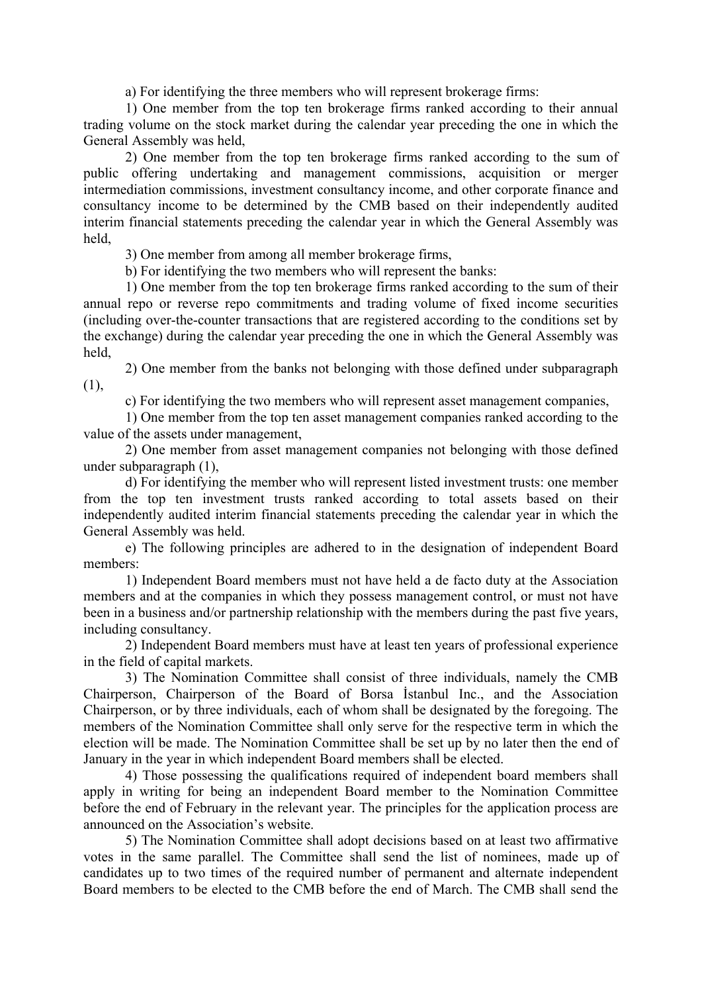a) For identifying the three members who will represent brokerage firms:

1) One member from the top ten brokerage firms ranked according to their annual trading volume on the stock market during the calendar year preceding the one in which the General Assembly was held,

2) One member from the top ten brokerage firms ranked according to the sum of public offering undertaking and management commissions, acquisition or merger intermediation commissions, investment consultancy income, and other corporate finance and consultancy income to be determined by the CMB based on their independently audited interim financial statements preceding the calendar year in which the General Assembly was held,

3) One member from among all member brokerage firms,

b) For identifying the two members who will represent the banks:

1) One member from the top ten brokerage firms ranked according to the sum of their annual repo or reverse repo commitments and trading volume of fixed income securities (including over-the-counter transactions that are registered according to the conditions set by the exchange) during the calendar year preceding the one in which the General Assembly was held,

2) One member from the banks not belonging with those defined under subparagraph (1),

c) For identifying the two members who will represent asset management companies,

1) One member from the top ten asset management companies ranked according to the value of the assets under management,

2) One member from asset management companies not belonging with those defined under subparagraph (1),

d) For identifying the member who will represent listed investment trusts: one member from the top ten investment trusts ranked according to total assets based on their independently audited interim financial statements preceding the calendar year in which the General Assembly was held.

e) The following principles are adhered to in the designation of independent Board members:

1) Independent Board members must not have held a de facto duty at the Association members and at the companies in which they possess management control, or must not have been in a business and/or partnership relationship with the members during the past five years, including consultancy.

2) Independent Board members must have at least ten years of professional experience in the field of capital markets.

3) The Nomination Committee shall consist of three individuals, namely the CMB Chairperson, Chairperson of the Board of Borsa İstanbul Inc., and the Association Chairperson, or by three individuals, each of whom shall be designated by the foregoing. The members of the Nomination Committee shall only serve for the respective term in which the election will be made. The Nomination Committee shall be set up by no later then the end of January in the year in which independent Board members shall be elected.

4) Those possessing the qualifications required of independent board members shall apply in writing for being an independent Board member to the Nomination Committee before the end of February in the relevant year. The principles for the application process are announced on the Association's website.

5) The Nomination Committee shall adopt decisions based on at least two affirmative votes in the same parallel. The Committee shall send the list of nominees, made up of candidates up to two times of the required number of permanent and alternate independent Board members to be elected to the CMB before the end of March. The CMB shall send the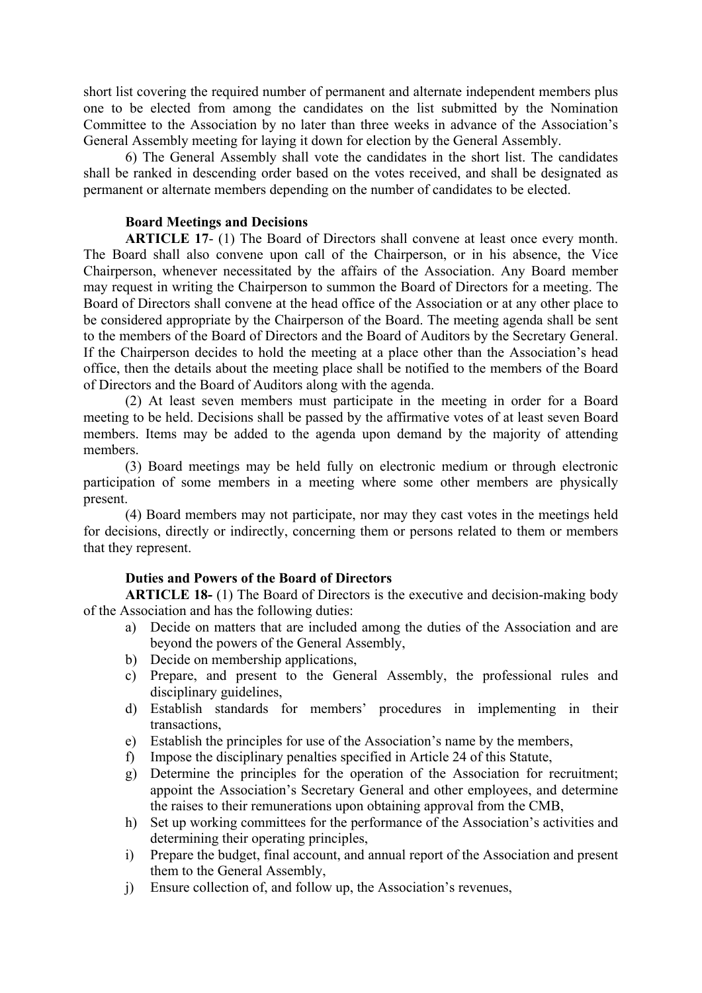short list covering the required number of permanent and alternate independent members plus one to be elected from among the candidates on the list submitted by the Nomination Committee to the Association by no later than three weeks in advance of the Association's General Assembly meeting for laying it down for election by the General Assembly.

6) The General Assembly shall vote the candidates in the short list. The candidates shall be ranked in descending order based on the votes received, and shall be designated as permanent or alternate members depending on the number of candidates to be elected.

## **Board Meetings and Decisions**

**ARTICLE 17**- (1) The Board of Directors shall convene at least once every month. The Board shall also convene upon call of the Chairperson, or in his absence, the Vice Chairperson, whenever necessitated by the affairs of the Association. Any Board member may request in writing the Chairperson to summon the Board of Directors for a meeting. The Board of Directors shall convene at the head office of the Association or at any other place to be considered appropriate by the Chairperson of the Board. The meeting agenda shall be sent to the members of the Board of Directors and the Board of Auditors by the Secretary General. If the Chairperson decides to hold the meeting at a place other than the Association's head office, then the details about the meeting place shall be notified to the members of the Board of Directors and the Board of Auditors along with the agenda.

(2) At least seven members must participate in the meeting in order for a Board meeting to be held. Decisions shall be passed by the affirmative votes of at least seven Board members. Items may be added to the agenda upon demand by the majority of attending members.

(3) Board meetings may be held fully on electronic medium or through electronic participation of some members in a meeting where some other members are physically present.

(4) Board members may not participate, nor may they cast votes in the meetings held for decisions, directly or indirectly, concerning them or persons related to them or members that they represent.

# **Duties and Powers of the Board of Directors**

**ARTICLE 18-** (1) The Board of Directors is the executive and decision-making body of the Association and has the following duties:

- a) Decide on matters that are included among the duties of the Association and are beyond the powers of the General Assembly,
- b) Decide on membership applications,
- c) Prepare, and present to the General Assembly, the professional rules and disciplinary guidelines,
- d) Establish standards for members' procedures in implementing in their transactions,
- e) Establish the principles for use of the Association's name by the members,
- f) Impose the disciplinary penalties specified in Article 24 of this Statute,
- g) Determine the principles for the operation of the Association for recruitment; appoint the Association's Secretary General and other employees, and determine the raises to their remunerations upon obtaining approval from the CMB,
- h) Set up working committees for the performance of the Association's activities and determining their operating principles,
- i) Prepare the budget, final account, and annual report of the Association and present them to the General Assembly,
- j) Ensure collection of, and follow up, the Association's revenues,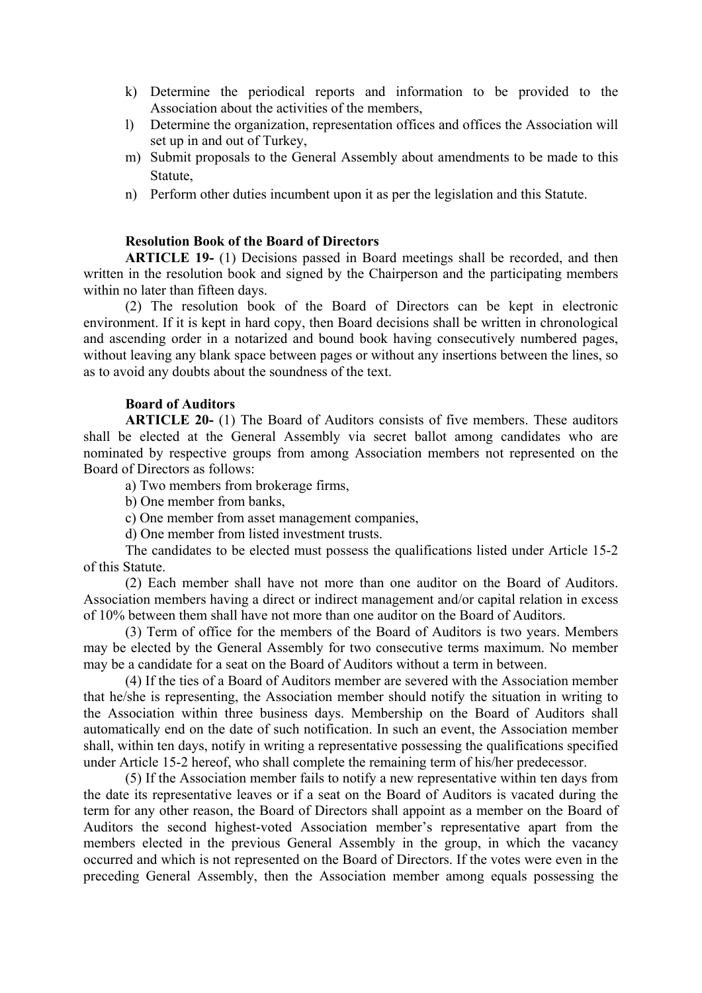- k) Determine the periodical reports and information to be provided to the Association about the activities of the members,
- l) Determine the organization, representation offices and offices the Association will set up in and out of Turkey,
- m) Submit proposals to the General Assembly about amendments to be made to this Statute,
- n) Perform other duties incumbent upon it as per the legislation and this Statute.

## **Resolution Book of the Board of Directors**

**ARTICLE 19-** (1) Decisions passed in Board meetings shall be recorded, and then written in the resolution book and signed by the Chairperson and the participating members within no later than fifteen days.

(2) The resolution book of the Board of Directors can be kept in electronic environment. If it is kept in hard copy, then Board decisions shall be written in chronological and ascending order in a notarized and bound book having consecutively numbered pages, without leaving any blank space between pages or without any insertions between the lines, so as to avoid any doubts about the soundness of the text.

#### **Board of Auditors**

**ARTICLE 20-** (1) The Board of Auditors consists of five members. These auditors shall be elected at the General Assembly via secret ballot among candidates who are nominated by respective groups from among Association members not represented on the Board of Directors as follows:

a) Two members from brokerage firms,

b) One member from banks,

c) One member from asset management companies,

d) One member from listed investment trusts.

The candidates to be elected must possess the qualifications listed under Article 15-2 of this Statute.

(2) Each member shall have not more than one auditor on the Board of Auditors. Association members having a direct or indirect management and/or capital relation in excess of 10% between them shall have not more than one auditor on the Board of Auditors.

(3) Term of office for the members of the Board of Auditors is two years. Members may be elected by the General Assembly for two consecutive terms maximum. No member may be a candidate for a seat on the Board of Auditors without a term in between.

(4) If the ties of a Board of Auditors member are severed with the Association member that he/she is representing, the Association member should notify the situation in writing to the Association within three business days. Membership on the Board of Auditors shall automatically end on the date of such notification. In such an event, the Association member shall, within ten days, notify in writing a representative possessing the qualifications specified under Article 15-2 hereof, who shall complete the remaining term of his/her predecessor.

(5) If the Association member fails to notify a new representative within ten days from the date its representative leaves or if a seat on the Board of Auditors is vacated during the term for any other reason, the Board of Directors shall appoint as a member on the Board of Auditors the second highest-voted Association member's representative apart from the members elected in the previous General Assembly in the group, in which the vacancy occurred and which is not represented on the Board of Directors. If the votes were even in the preceding General Assembly, then the Association member among equals possessing the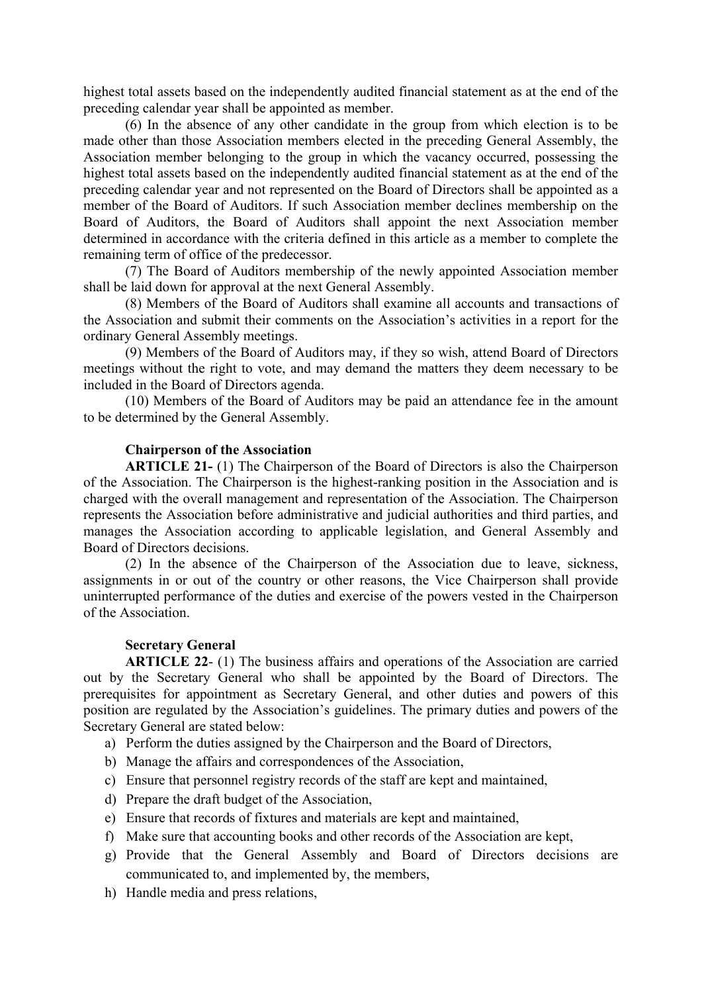highest total assets based on the independently audited financial statement as at the end of the preceding calendar year shall be appointed as member.

(6) In the absence of any other candidate in the group from which election is to be made other than those Association members elected in the preceding General Assembly, the Association member belonging to the group in which the vacancy occurred, possessing the highest total assets based on the independently audited financial statement as at the end of the preceding calendar year and not represented on the Board of Directors shall be appointed as a member of the Board of Auditors. If such Association member declines membership on the Board of Auditors, the Board of Auditors shall appoint the next Association member determined in accordance with the criteria defined in this article as a member to complete the remaining term of office of the predecessor.

(7) The Board of Auditors membership of the newly appointed Association member shall be laid down for approval at the next General Assembly.

(8) Members of the Board of Auditors shall examine all accounts and transactions of the Association and submit their comments on the Association's activities in a report for the ordinary General Assembly meetings.

(9) Members of the Board of Auditors may, if they so wish, attend Board of Directors meetings without the right to vote, and may demand the matters they deem necessary to be included in the Board of Directors agenda.

(10) Members of the Board of Auditors may be paid an attendance fee in the amount to be determined by the General Assembly.

## **Chairperson of the Association**

**ARTICLE 21-** (1) The Chairperson of the Board of Directors is also the Chairperson of the Association. The Chairperson is the highest-ranking position in the Association and is charged with the overall management and representation of the Association. The Chairperson represents the Association before administrative and judicial authorities and third parties, and manages the Association according to applicable legislation, and General Assembly and Board of Directors decisions.

(2) In the absence of the Chairperson of the Association due to leave, sickness, assignments in or out of the country or other reasons, the Vice Chairperson shall provide uninterrupted performance of the duties and exercise of the powers vested in the Chairperson of the Association.

## **Secretary General**

**ARTICLE 22**- (1) The business affairs and operations of the Association are carried out by the Secretary General who shall be appointed by the Board of Directors. The prerequisites for appointment as Secretary General, and other duties and powers of this position are regulated by the Association's guidelines. The primary duties and powers of the Secretary General are stated below:

- a) Perform the duties assigned by the Chairperson and the Board of Directors,
- b) Manage the affairs and correspondences of the Association,
- c) Ensure that personnel registry records of the staff are kept and maintained,
- d) Prepare the draft budget of the Association,
- e) Ensure that records of fixtures and materials are kept and maintained,
- f) Make sure that accounting books and other records of the Association are kept,
- g) Provide that the General Assembly and Board of Directors decisions are communicated to, and implemented by, the members,
- h) Handle media and press relations,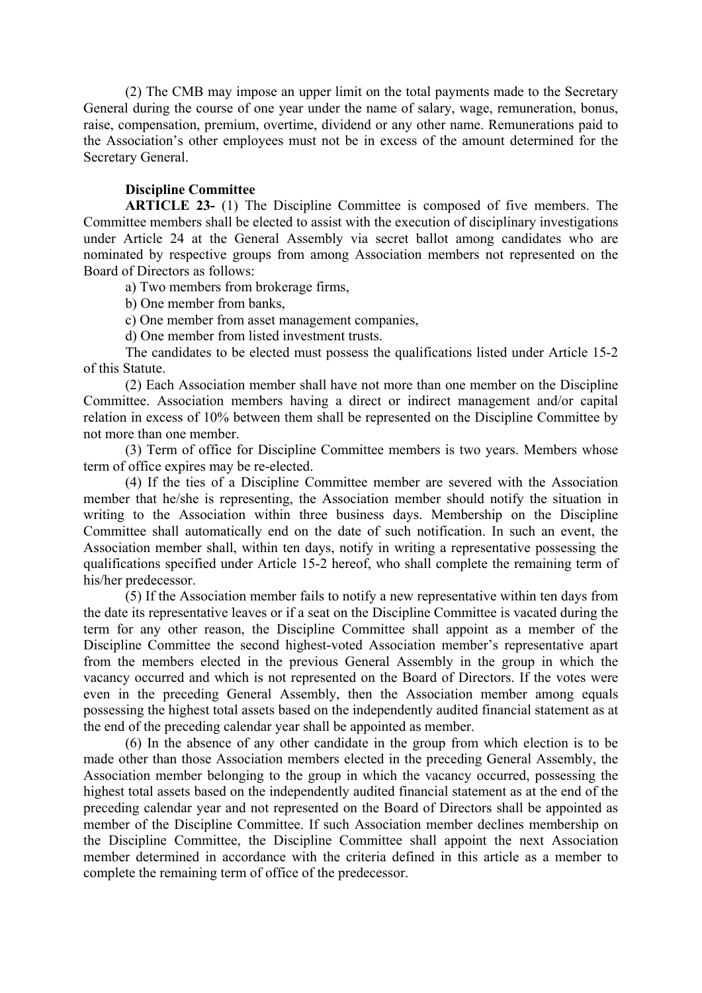(2) The CMB may impose an upper limit on the total payments made to the Secretary General during the course of one year under the name of salary, wage, remuneration, bonus, raise, compensation, premium, overtime, dividend or any other name. Remunerations paid to the Association's other employees must not be in excess of the amount determined for the Secretary General.

## **Discipline Committee**

**ARTICLE 23-** (1) The Discipline Committee is composed of five members. The Committee members shall be elected to assist with the execution of disciplinary investigations under Article 24 at the General Assembly via secret ballot among candidates who are nominated by respective groups from among Association members not represented on the Board of Directors as follows:

a) Two members from brokerage firms,

b) One member from banks,

c) One member from asset management companies,

d) One member from listed investment trusts.

The candidates to be elected must possess the qualifications listed under Article 15-2 of this Statute.

(2) Each Association member shall have not more than one member on the Discipline Committee. Association members having a direct or indirect management and/or capital relation in excess of 10% between them shall be represented on the Discipline Committee by not more than one member.

(3) Term of office for Discipline Committee members is two years. Members whose term of office expires may be re-elected.

(4) If the ties of a Discipline Committee member are severed with the Association member that he/she is representing, the Association member should notify the situation in writing to the Association within three business days. Membership on the Discipline Committee shall automatically end on the date of such notification. In such an event, the Association member shall, within ten days, notify in writing a representative possessing the qualifications specified under Article 15-2 hereof, who shall complete the remaining term of his/her predecessor.

(5) If the Association member fails to notify a new representative within ten days from the date its representative leaves or if a seat on the Discipline Committee is vacated during the term for any other reason, the Discipline Committee shall appoint as a member of the Discipline Committee the second highest-voted Association member's representative apart from the members elected in the previous General Assembly in the group in which the vacancy occurred and which is not represented on the Board of Directors. If the votes were even in the preceding General Assembly, then the Association member among equals possessing the highest total assets based on the independently audited financial statement as at the end of the preceding calendar year shall be appointed as member.

(6) In the absence of any other candidate in the group from which election is to be made other than those Association members elected in the preceding General Assembly, the Association member belonging to the group in which the vacancy occurred, possessing the highest total assets based on the independently audited financial statement as at the end of the preceding calendar year and not represented on the Board of Directors shall be appointed as member of the Discipline Committee. If such Association member declines membership on the Discipline Committee, the Discipline Committee shall appoint the next Association member determined in accordance with the criteria defined in this article as a member to complete the remaining term of office of the predecessor.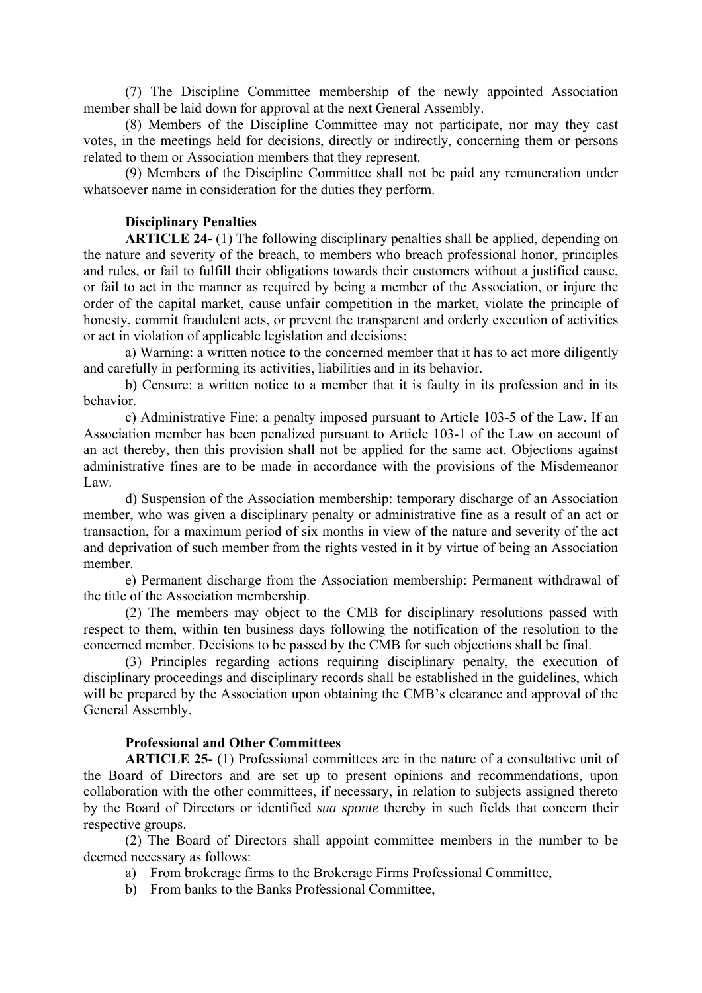(7) The Discipline Committee membership of the newly appointed Association member shall be laid down for approval at the next General Assembly.

(8) Members of the Discipline Committee may not participate, nor may they cast votes, in the meetings held for decisions, directly or indirectly, concerning them or persons related to them or Association members that they represent.

(9) Members of the Discipline Committee shall not be paid any remuneration under whatsoever name in consideration for the duties they perform.

## **Disciplinary Penalties**

**ARTICLE 24-** (1) The following disciplinary penalties shall be applied, depending on the nature and severity of the breach, to members who breach professional honor, principles and rules, or fail to fulfill their obligations towards their customers without a justified cause, or fail to act in the manner as required by being a member of the Association, or injure the order of the capital market, cause unfair competition in the market, violate the principle of honesty, commit fraudulent acts, or prevent the transparent and orderly execution of activities or act in violation of applicable legislation and decisions:

a) Warning: a written notice to the concerned member that it has to act more diligently and carefully in performing its activities, liabilities and in its behavior.

b) Censure: a written notice to a member that it is faulty in its profession and in its behavior.

c) Administrative Fine: a penalty imposed pursuant to Article 103-5 of the Law. If an Association member has been penalized pursuant to Article 103-1 of the Law on account of an act thereby, then this provision shall not be applied for the same act. Objections against administrative fines are to be made in accordance with the provisions of the Misdemeanor Law.

d) Suspension of the Association membership: temporary discharge of an Association member, who was given a disciplinary penalty or administrative fine as a result of an act or transaction, for a maximum period of six months in view of the nature and severity of the act and deprivation of such member from the rights vested in it by virtue of being an Association member.

e) Permanent discharge from the Association membership: Permanent withdrawal of the title of the Association membership.

(2) The members may object to the CMB for disciplinary resolutions passed with respect to them, within ten business days following the notification of the resolution to the concerned member. Decisions to be passed by the CMB for such objections shall be final.

(3) Principles regarding actions requiring disciplinary penalty, the execution of disciplinary proceedings and disciplinary records shall be established in the guidelines, which will be prepared by the Association upon obtaining the CMB's clearance and approval of the General Assembly.

# **Professional and Other Committees**

**ARTICLE 25**- (1) Professional committees are in the nature of a consultative unit of the Board of Directors and are set up to present opinions and recommendations, upon collaboration with the other committees, if necessary, in relation to subjects assigned thereto by the Board of Directors or identified *sua sponte* thereby in such fields that concern their respective groups.

(2) The Board of Directors shall appoint committee members in the number to be deemed necessary as follows:

- a) From brokerage firms to the Brokerage Firms Professional Committee,
- b) From banks to the Banks Professional Committee,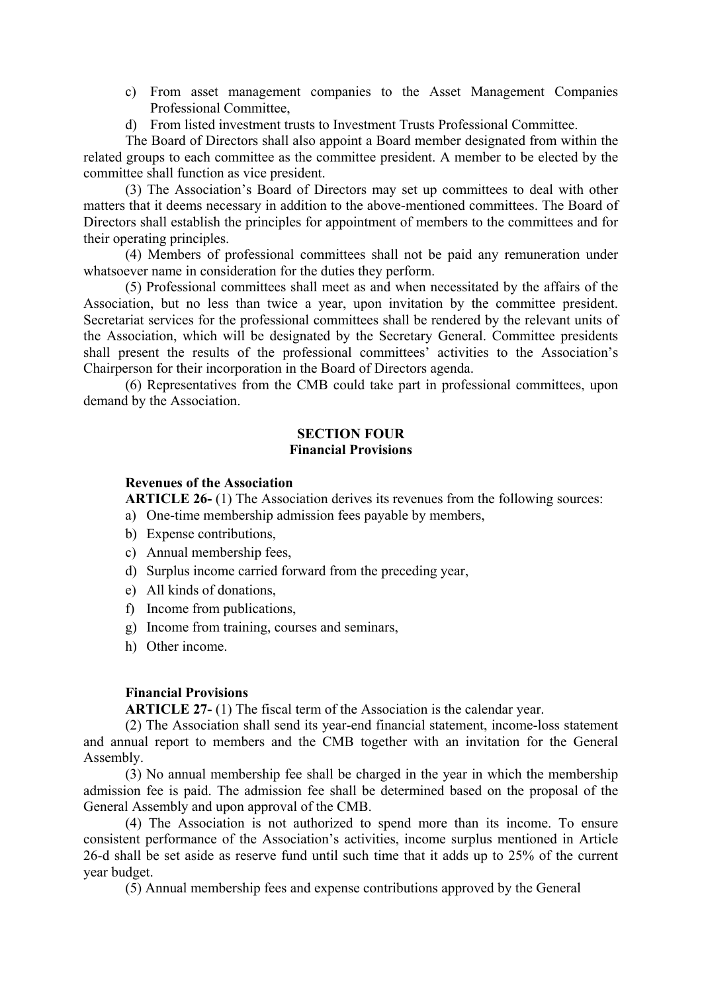- c) From asset management companies to the Asset Management Companies Professional Committee,
- d) From listed investment trusts to Investment Trusts Professional Committee.

The Board of Directors shall also appoint a Board member designated from within the related groups to each committee as the committee president. A member to be elected by the committee shall function as vice president.

(3) The Association's Board of Directors may set up committees to deal with other matters that it deems necessary in addition to the above-mentioned committees. The Board of Directors shall establish the principles for appointment of members to the committees and for their operating principles.

(4) Members of professional committees shall not be paid any remuneration under whatsoever name in consideration for the duties they perform.

(5) Professional committees shall meet as and when necessitated by the affairs of the Association, but no less than twice a year, upon invitation by the committee president. Secretariat services for the professional committees shall be rendered by the relevant units of the Association, which will be designated by the Secretary General. Committee presidents shall present the results of the professional committees' activities to the Association's Chairperson for their incorporation in the Board of Directors agenda.

(6) Representatives from the CMB could take part in professional committees, upon demand by the Association.

## **SECTION FOUR Financial Provisions**

### **Revenues of the Association**

**ARTICLE 26-** (1) The Association derives its revenues from the following sources:

- a) One-time membership admission fees payable by members,
- b) Expense contributions,
- c) Annual membership fees,
- d) Surplus income carried forward from the preceding year,
- e) All kinds of donations,
- f) Income from publications,
- g) Income from training, courses and seminars,
- h) Other income.

#### **Financial Provisions**

**ARTICLE 27-** (1) The fiscal term of the Association is the calendar year.

(2) The Association shall send its year-end financial statement, income-loss statement and annual report to members and the CMB together with an invitation for the General Assembly.

(3) No annual membership fee shall be charged in the year in which the membership admission fee is paid. The admission fee shall be determined based on the proposal of the General Assembly and upon approval of the CMB.

(4) The Association is not authorized to spend more than its income. To ensure consistent performance of the Association's activities, income surplus mentioned in Article 26-d shall be set aside as reserve fund until such time that it adds up to 25% of the current year budget.

(5) Annual membership fees and expense contributions approved by the General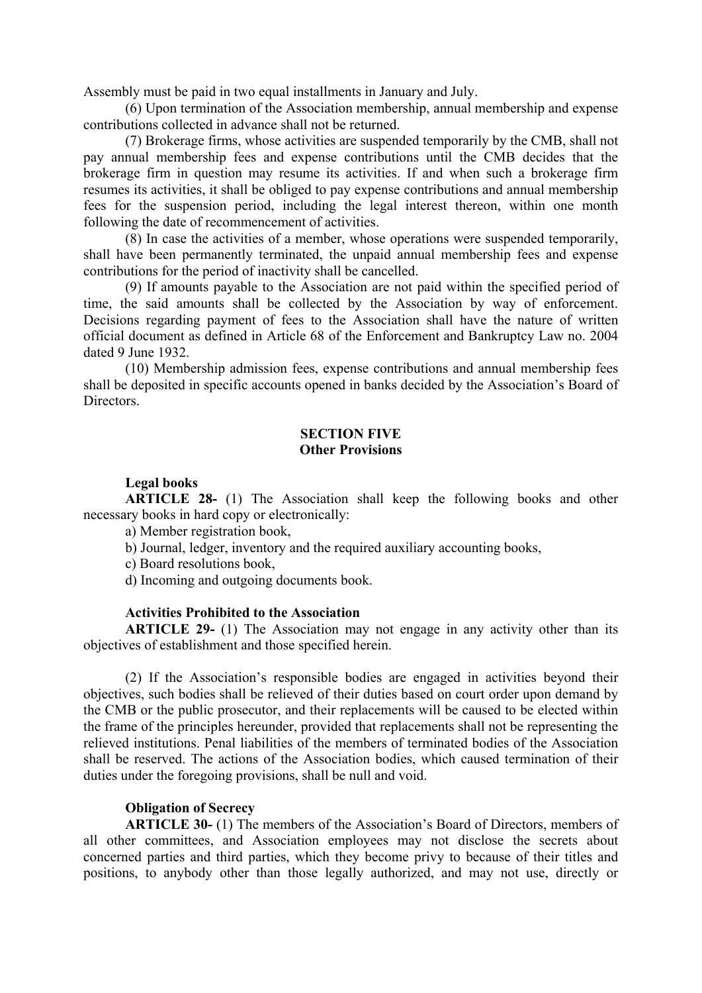Assembly must be paid in two equal installments in January and July.

(6) Upon termination of the Association membership, annual membership and expense contributions collected in advance shall not be returned.

(7) Brokerage firms, whose activities are suspended temporarily by the CMB, shall not pay annual membership fees and expense contributions until the CMB decides that the brokerage firm in question may resume its activities. If and when such a brokerage firm resumes its activities, it shall be obliged to pay expense contributions and annual membership fees for the suspension period, including the legal interest thereon, within one month following the date of recommencement of activities.

(8) In case the activities of a member, whose operations were suspended temporarily, shall have been permanently terminated, the unpaid annual membership fees and expense contributions for the period of inactivity shall be cancelled.

(9) If amounts payable to the Association are not paid within the specified period of time, the said amounts shall be collected by the Association by way of enforcement. Decisions regarding payment of fees to the Association shall have the nature of written official document as defined in Article 68 of the Enforcement and Bankruptcy Law no. 2004 dated 9 June 1932.

(10) Membership admission fees, expense contributions and annual membership fees shall be deposited in specific accounts opened in banks decided by the Association's Board of **Directors** 

## **SECTION FIVE Other Provisions**

## **Legal books**

**ARTICLE 28-** (1) The Association shall keep the following books and other necessary books in hard copy or electronically:

a) Member registration book,

b) Journal, ledger, inventory and the required auxiliary accounting books,

c) Board resolutions book,

d) Incoming and outgoing documents book.

## **Activities Prohibited to the Association**

**ARTICLE 29-** (1) The Association may not engage in any activity other than its objectives of establishment and those specified herein.

(2) If the Association's responsible bodies are engaged in activities beyond their objectives, such bodies shall be relieved of their duties based on court order upon demand by the CMB or the public prosecutor, and their replacements will be caused to be elected within the frame of the principles hereunder, provided that replacements shall not be representing the relieved institutions. Penal liabilities of the members of terminated bodies of the Association shall be reserved. The actions of the Association bodies, which caused termination of their duties under the foregoing provisions, shall be null and void.

# **Obligation of Secrecy**

**ARTICLE 30-** (1) The members of the Association's Board of Directors, members of all other committees, and Association employees may not disclose the secrets about concerned parties and third parties, which they become privy to because of their titles and positions, to anybody other than those legally authorized, and may not use, directly or